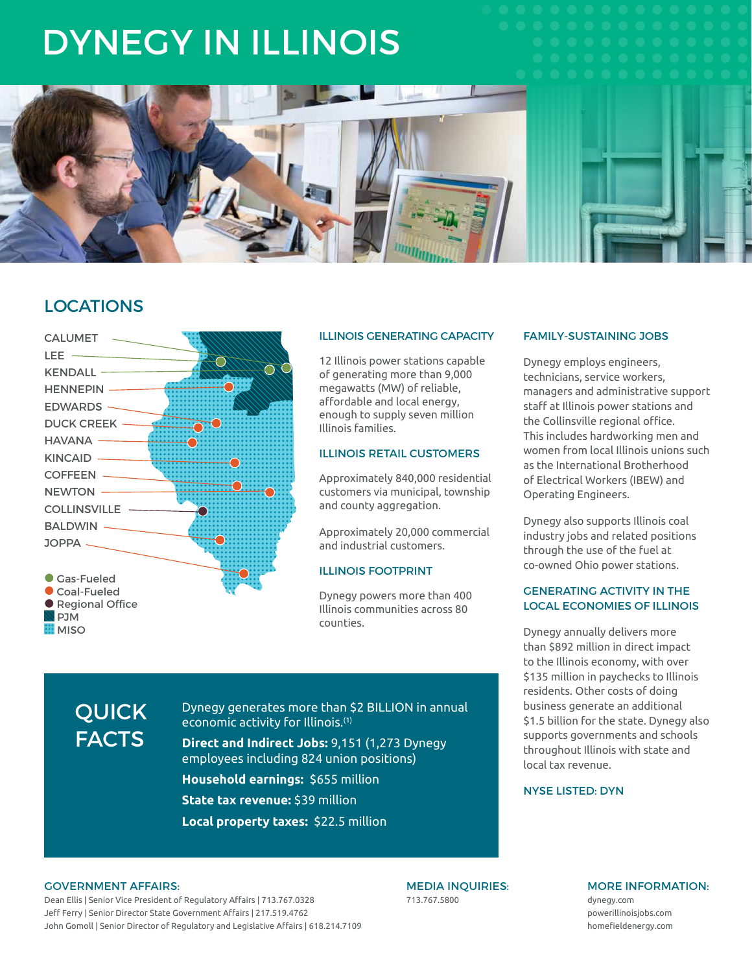# DYNEGY IN ILLINOIS



# LOCATIONS



#### ILLINOIS GENERATING CAPACITY

12 Illinois power stations capable of generating more than 9,000 megawatts (MW) of reliable, affordable and local energy, enough to supply seven million Illinois families.

# ILLINOIS RETAIL CUSTOMERS

Approximately 840,000 residential customers via municipal, township and county aggregation.

Approximately 20,000 commercial and industrial customers.

#### ILLINOIS FOOTPRINT

Dynegy powers more than 400 Illinois communities across 80 counties.

Dynegy generates more than \$2 BILLION in annual economic activity for Illinois.(1)

**Direct and Indirect Jobs:** 9,151 (1,273 Dynegy employees including 824 union positions)

**Household earnings:** \$655 million

**State tax revenue:** \$39 million

**Local property taxes:** \$22.5 million

# FAMILY-SUSTAINING JOBS

Dynegy employs engineers, technicians, service workers, managers and administrative support staff at Illinois power stations and the Collinsville regional office. This includes hardworking men and women from local Illinois unions such as the International Brotherhood of Electrical Workers (IBEW) and Operating Engineers.

Dynegy also supports Illinois coal industry jobs and related positions through the use of the fuel at co-owned Ohio power stations.

## GENERATING ACTIVITY IN THE LOCAL ECONOMIES OF ILLINOIS

Dynegy annually delivers more than \$892 million in direct impact to the Illinois economy, with over \$135 million in paychecks to Illinois residents. Other costs of doing business generate an additional \$1.5 billion for the state. Dynegy also supports governments and schools throughout Illinois with state and local tax revenue.

#### NYSE LISTED: DYN

#### GOVERNMENT AFFAIRS:

QUICK **FACTS** 

Dean Ellis | Senior Vice President of Regulatory Affairs | 713.767.0328 Jeff Ferry | Senior Director State Government Affairs | 217.519.4762 John Gomoll | Senior Director of Regulatory and Legislative Affairs | 618.214.7109 MEDIA INQUIRIES: 713.767.5800

# MORE INFORMATION:

dynegy.com powerillinoisjobs.com homefieldenergy.com